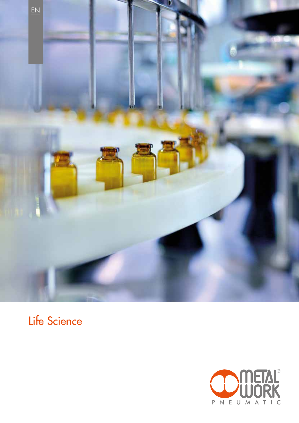

# Life Science

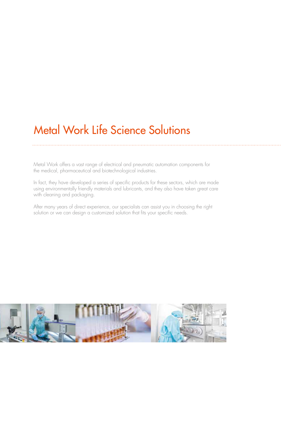# Metal Work Life Science Solutions

Metal Work offers a vast range of electrical and pneumatic automation components for the medical, pharmaceutical and biotechnological industries.

In fact, they have developed a series of specific products for these sectors, which are made using environmentally friendly materials and lubricants, and they also have taken great care with cleaning and packaging.

After many years of direct experience, our specialists can assist you in choosing the right solution or we can design a customized solution that fits your specific needs.

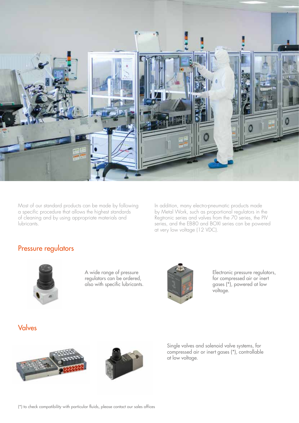

Most of our standard products can be made by following a specific procedure that allows the highest standards of cleaning and by using appropriate materials and lubricants.

In addition, many electro-pneumatic products made by Metal Work, such as proportional regulators in the Regtronic series and valves from the 70 series, the PIV series, and the EB80 and BOXI series can be powered at very low voltage (12 VDC).

#### Pressure regulators



A wide range of pressure regulators can be ordered, also with specific lubricants.



Electronic pressure regulators, for compressed air or inert gases (\*), powered at low voltage.

#### Valves



Single valves and solenoid valve systems, for compressed air or inert gases (\*), controllable at low voltage.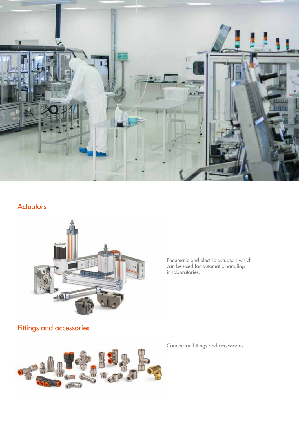

#### **Actuators**



Pneumatic and electric actuators which can be used for automatic handling in laboratories.

## Fittings and accessories



Connection fittings and accessories.